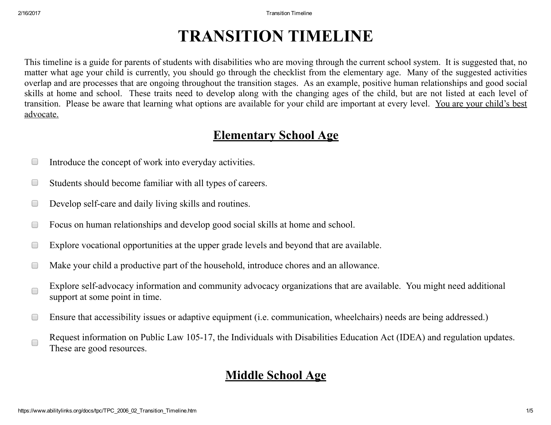# TRANSITION TIMELINE

This timeline is a guide for parents of students with disabilities who are moving through the current school system. It is suggested that, no matter what age your child is currently, you should go through the checklist from the elementary age. Many of the suggested activities overlap and are processes that are ongoing throughout the transition stages. As an example, positive human relationships and good social skills at home and school. These traits need to develop along with the changing ages of the child, but are not listed at each level of transition. Please be aware that learning what options are available for your child are important at every level. You are your child's best advocate.

## Elementary School Age

- Introduce the concept of work into everyday activities.  $\Box$
- Students should become familiar with all types of careers.  $\Box$
- Develop self-care and daily living skills and routines.  $\Box$
- Focus on human relationships and develop good social skills at home and school.  $\Box$
- Explore vocational opportunities at the upper grade levels and beyond that are available.  $\Box$
- Make your child a productive part of the household, introduce chores and an allowance.  $\Box$
- Explore self-advocacy information and community advocacy organizations that are available. You might need additional  $\Box$ support at some point in time.
- Ensure that accessibility issues or adaptive equipment (i.e. communication, wheelchairs) needs are being addressed.)  $\Box$
- Request information on Public Law 105-17, the Individuals with Disabilities Education Act (IDEA) and regulation updates.  $\Box$ These are good resources.

## Middle School Age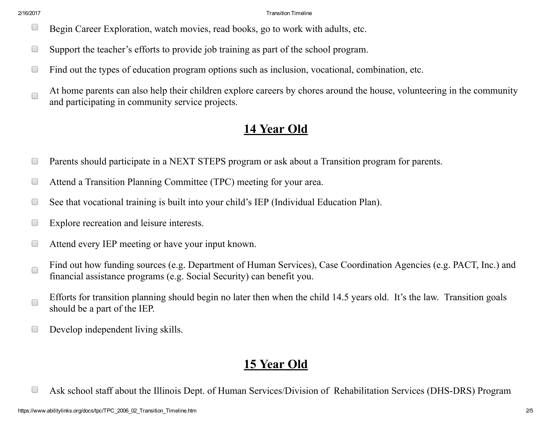- $\Box$ Begin Career Exploration, watch movies, read books, go to work with adults, etc.
- Support the teacher's efforts to provide job training as part of the school program.  $\Box$
- Find out the types of education program options such as inclusion, vocational, combination, etc.  $\Box$
- At home parents can also help their children explore careers by chores around the house, volunteering in the community  $\Box$ and participating in community service projects.

#### 14 Year Old

- $\Box$ Parents should participate in a NEXT STEPS program or ask about a Transition program for parents.
- Attend a Transition Planning Committee (TPC) meeting for your area.  $\Box$
- See that vocational training is built into your child's IEP (Individual Education Plan).  $\Box$
- Explore recreation and leisure interests.  $\Box$
- Attend every IEP meeting or have your input known.  $\Box$
- Find out how funding sources (e.g. Department of Human Services), Case Coordination Agencies (e.g. PACT, Inc.) and  $\Box$ financial assistance programs (e.g. Social Security) can benefit you.
- Efforts for transition planning should begin no later then when the child 14.5 years old. It's the law. Transition goals  $\Box$ should be a part of the IEP.
- Develop independent living skills.  $\Box$

#### 15 Year Old

 $\Box$ Ask school staff about the Illinois Dept. of Human Services/Division of Rehabilitation Services (DHS-DRS) Program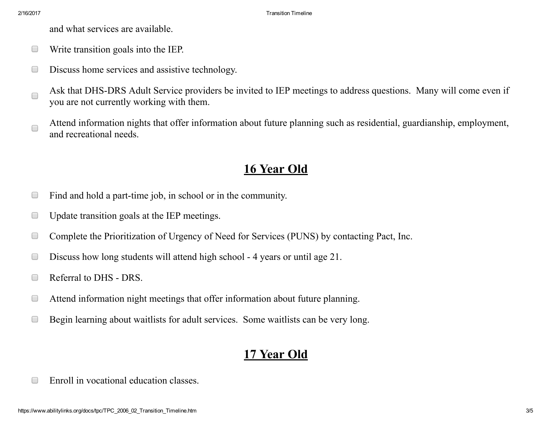and what services are available.

- Write transition goals into the IEP.  $\Box$
- Discuss home services and assistive technology.  $\Box$
- Ask that DHS-DRS Adult Service providers be invited to IEP meetings to address questions. Many will come even if  $\Box$ you are not currently working with them.
- Attend information nights that offer information about future planning such as residential, guardianship, employment,  $\Box$ and recreational needs.

## 16 Year Old

- $\Box$ Find and hold a part-time job, in school or in the community.
- Update transition goals at the IEP meetings.  $\Box$
- Complete the Prioritization of Urgency of Need for Services (PUNS) by contacting Pact, Inc.  $\Box$
- Discuss how long students will attend high school 4 years or until age 21.  $\Box$
- Referral to DHS DRS.  $\Box$
- Attend information night meetings that offer information about future planning.  $\Box$
- $\Box$ Begin learning about waitlists for adult services. Some waitlists can be very long.

#### 17 Year Old

Enroll in vocational education classes. $\Box$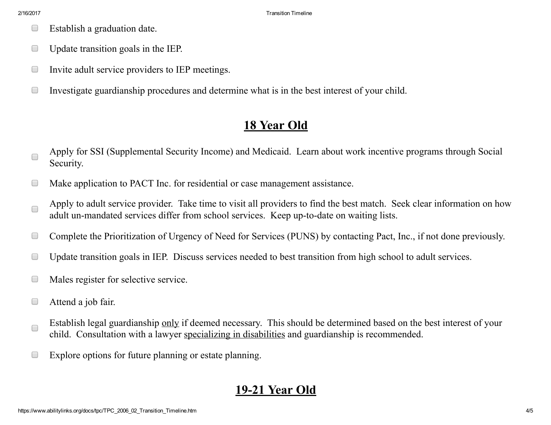- Establish a graduation date.  $\Box$
- Update transition goals in the IEP.  $\Box$
- Invite adult service providers to IEP meetings.  $\Box$
- $\Box$ Investigate guardianship procedures and determine what is in the best interest of your child.

## 18 Year Old

- Apply for SSI (Supplemental Security Income) and Medicaid. Learn about work incentive programs through Social  $\Box$ Security.
- Make application to PACT Inc. for residential or case management assistance.  $\Box$
- Apply to adult service provider. Take time to visit all providers to find the best match. Seek clear information on how  $\Box$ adult un-mandated services differ from school services. Keep up-to-date on waiting lists.
- Complete the Prioritization of Urgency of Need for Services (PUNS) by contacting Pact, Inc., if not done previously.  $\Box$
- Update transition goals in IEP. Discuss services needed to best transition from high school to adult services.  $\Box$
- Males register for selective service.  $\Box$
- Attend a job fair.  $\Box$
- Establish legal guardianship only if deemed necessary. This should be determined based on the best interest of your  $\Box$ child. Consultation with a lawyer specializing in disabilities and guardianship is recommended.
- $\Box$ Explore options for future planning or estate planning.

## 1921 Year Old